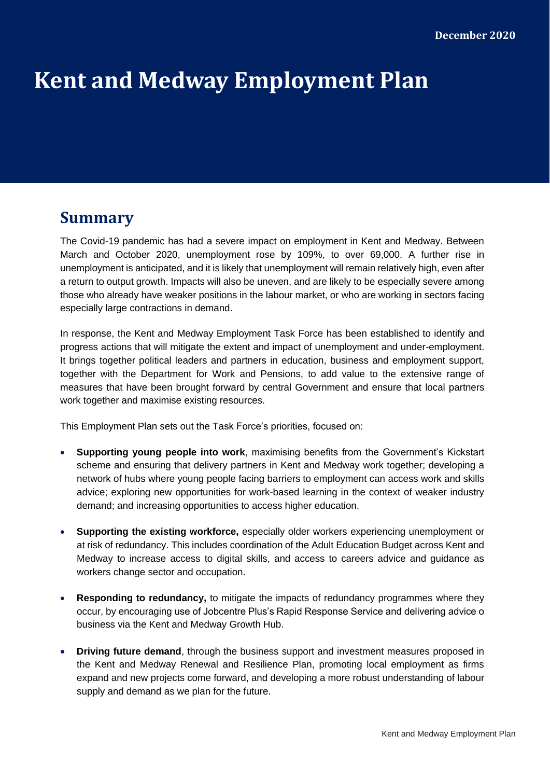# **Kent and Medway Employment Plan**

# **Summary**

The Covid-19 pandemic has had a severe impact on employment in Kent and Medway. Between March and October 2020, unemployment rose by 109%, to over 69,000. A further rise in unemployment is anticipated, and it is likely that unemployment will remain relatively high, even after a return to output growth. Impacts will also be uneven, and are likely to be especially severe among those who already have weaker positions in the labour market, or who are working in sectors facing especially large contractions in demand.

In response, the Kent and Medway Employment Task Force has been established to identify and progress actions that will mitigate the extent and impact of unemployment and under-employment. It brings together political leaders and partners in education, business and employment support, together with the Department for Work and Pensions, to add value to the extensive range of measures that have been brought forward by central Government and ensure that local partners work together and maximise existing resources.

This Employment Plan sets out the Task Force's priorities, focused on:

- **Supporting young people into work**, maximising benefits from the Government's Kickstart scheme and ensuring that delivery partners in Kent and Medway work together; developing a network of hubs where young people facing barriers to employment can access work and skills advice; exploring new opportunities for work-based learning in the context of weaker industry demand; and increasing opportunities to access higher education.
- **Supporting the existing workforce,** especially older workers experiencing unemployment or at risk of redundancy. This includes coordination of the Adult Education Budget across Kent and Medway to increase access to digital skills, and access to careers advice and guidance as workers change sector and occupation.
- **Responding to redundancy,** to mitigate the impacts of redundancy programmes where they occur, by encouraging use of Jobcentre Plus's Rapid Response Service and delivering advice o business via the Kent and Medway Growth Hub.
- **Driving future demand**, through the business support and investment measures proposed in the Kent and Medway Renewal and Resilience Plan, promoting local employment as firms expand and new projects come forward, and developing a more robust understanding of labour supply and demand as we plan for the future.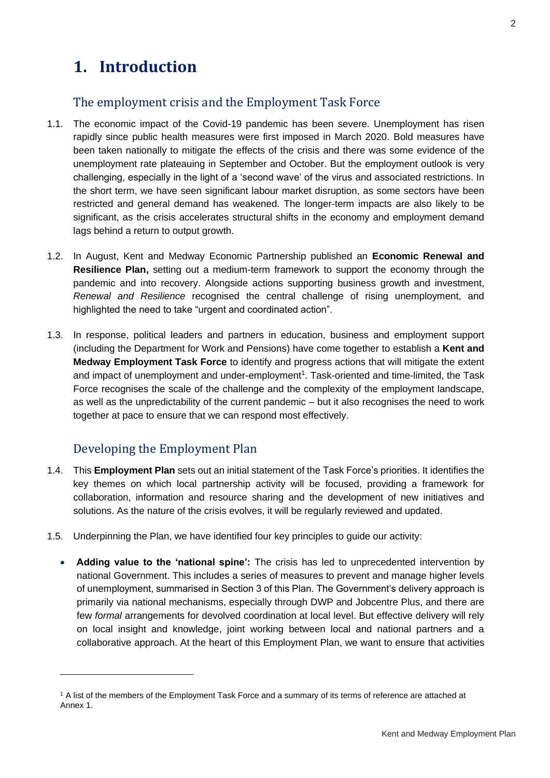# **1. Introduction**

### The employment crisis and the Employment Task Force

- 1.1. The economic impact of the Covid-19 pandemic has been severe. Unemployment has risen rapidly since public health measures were first imposed in March 2020. Bold measures have been taken nationally to mitigate the effects of the crisis and there was some evidence of the unemployment rate plateauing in September and October. But the employment outlook is very challenging, especially in the light of a 'second wave' of the virus and associated restrictions. In the short term, we have seen significant labour market disruption, as some sectors have been restricted and general demand has weakened. The longer-term impacts are also likely to be significant, as the crisis accelerates structural shifts in the economy and employment demand lags behind a return to output growth.
- 1.2. In August, Kent and Medway Economic Partnership published an **Economic Renewal and Resilience Plan,** setting out a medium-term framework to support the economy through the pandemic and into recovery. Alongside actions supporting business growth and investment, *Renewal and Resilience* recognised the central challenge of rising unemployment, and highlighted the need to take "urgent and coordinated action".
- 1.3. In response, political leaders and partners in education, business and employment support (including the Department for Work and Pensions) have come together to establish a **Kent and Medway Employment Task Force** to identify and progress actions that will mitigate the extent and impact of unemployment and under-employment<sup>1</sup>. Task-oriented and time-limited, the Task Force recognises the scale of the challenge and the complexity of the employment landscape, as well as the unpredictability of the current pandemic – but it also recognises the need to work together at pace to ensure that we can respond most effectively.

# Developing the Employment Plan

- 1.4. This **Employment Plan** sets out an initial statement of the Task Force's priorities. It identifies the key themes on which local partnership activity will be focused, providing a framework for collaboration, information and resource sharing and the development of new initiatives and solutions. As the nature of the crisis evolves, it will be regularly reviewed and updated.
- 1.5. Underpinning the Plan, we have identified four key principles to guide our activity:
	- **Adding value to the 'national spine':** The crisis has led to unprecedented intervention by national Government. This includes a series of measures to prevent and manage higher levels of unemployment, summarised in Section 3 of this Plan. The Government's delivery approach is primarily via national mechanisms, especially through DWP and Jobcentre Plus, and there are few *formal* arrangements for devolved coordination at local level. But effective delivery will rely on local insight and knowledge, joint working between local and national partners and a collaborative approach. At the heart of this Employment Plan, we want to ensure that activities

<sup>&</sup>lt;sup>1</sup> A list of the members of the Employment Task Force and a summary of its terms of reference are attached at Annex 1.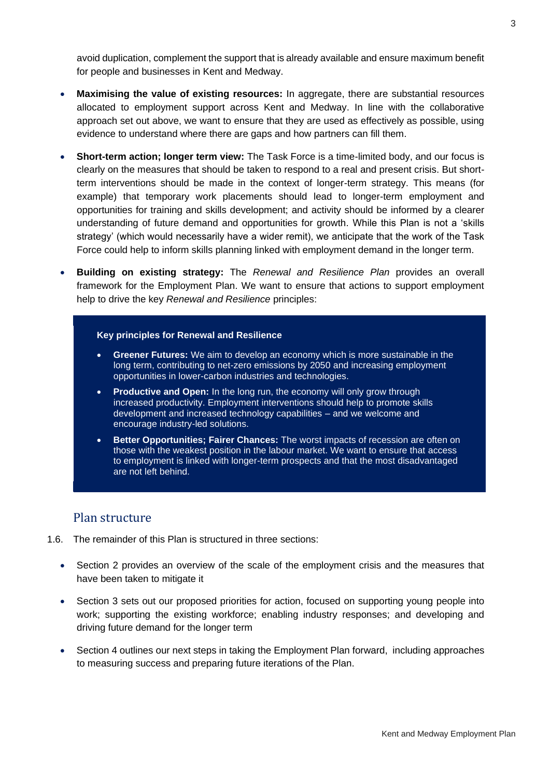avoid duplication, complement the support that is already available and ensure maximum benefit for people and businesses in Kent and Medway.

- **Maximising the value of existing resources:** In aggregate, there are substantial resources allocated to employment support across Kent and Medway. In line with the collaborative approach set out above, we want to ensure that they are used as effectively as possible, using evidence to understand where there are gaps and how partners can fill them.
- **Short-term action; longer term view:** The Task Force is a time-limited body, and our focus is clearly on the measures that should be taken to respond to a real and present crisis. But shortterm interventions should be made in the context of longer-term strategy. This means (for example) that temporary work placements should lead to longer-term employment and opportunities for training and skills development; and activity should be informed by a clearer understanding of future demand and opportunities for growth. While this Plan is not a 'skills strategy' (which would necessarily have a wider remit), we anticipate that the work of the Task Force could help to inform skills planning linked with employment demand in the longer term.
- **Building on existing strategy:** The *Renewal and Resilience Plan* provides an overall framework for the Employment Plan. We want to ensure that actions to support employment help to drive the key *Renewal and Resilience* principles:

#### **Key principles for Renewal and Resilience**

- **Greener Futures:** We aim to develop an economy which is more sustainable in the long term, contributing to net-zero emissions by 2050 and increasing employment opportunities in lower-carbon industries and technologies.
- **Productive and Open:** In the long run, the economy will only grow through increased productivity. Employment interventions should help to promote skills development and increased technology capabilities – and we welcome and encourage industry-led solutions.
- **Better Opportunities; Fairer Chances:** The worst impacts of recession are often on those with the weakest position in the labour market. We want to ensure that access to employment is linked with longer-term prospects and that the most disadvantaged are not left behind.

#### Plan structure

- 1.6. The remainder of this Plan is structured in three sections:
	- Section 2 provides an overview of the scale of the employment crisis and the measures that have been taken to mitigate it
	- Section 3 sets out our proposed priorities for action, focused on supporting young people into work; supporting the existing workforce; enabling industry responses; and developing and driving future demand for the longer term
	- Section 4 outlines our next steps in taking the Employment Plan forward, including approaches to measuring success and preparing future iterations of the Plan.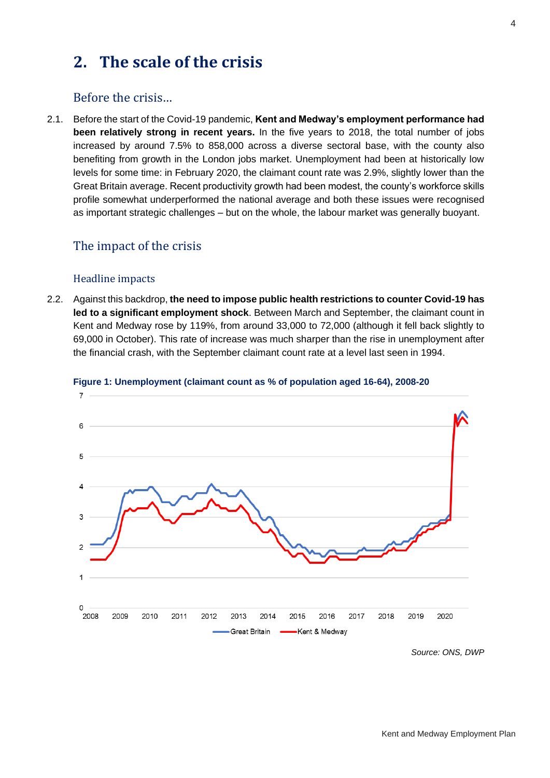# **2. The scale of the crisis**

### Before the crisis…

2.1. Before the start of the Covid-19 pandemic, **Kent and Medway's employment performance had been relatively strong in recent years.** In the five years to 2018, the total number of jobs increased by around 7.5% to 858,000 across a diverse sectoral base, with the county also benefiting from growth in the London jobs market. Unemployment had been at historically low levels for some time: in February 2020, the claimant count rate was 2.9%, slightly lower than the Great Britain average. Recent productivity growth had been modest, the county's workforce skills profile somewhat underperformed the national average and both these issues were recognised as important strategic challenges – but on the whole, the labour market was generally buoyant.

### The impact of the crisis

#### Headline impacts

2.2. Against this backdrop, **the need to impose public health restrictions to counter Covid-19 has led to a significant employment shock**. Between March and September, the claimant count in Kent and Medway rose by 119%, from around 33,000 to 72,000 (although it fell back slightly to 69,000 in October). This rate of increase was much sharper than the rise in unemployment after the financial crash, with the September claimant count rate at a level last seen in 1994.



#### **Figure 1: Unemployment (claimant count as % of population aged 16-64), 2008-20**

*Source: ONS, DWP*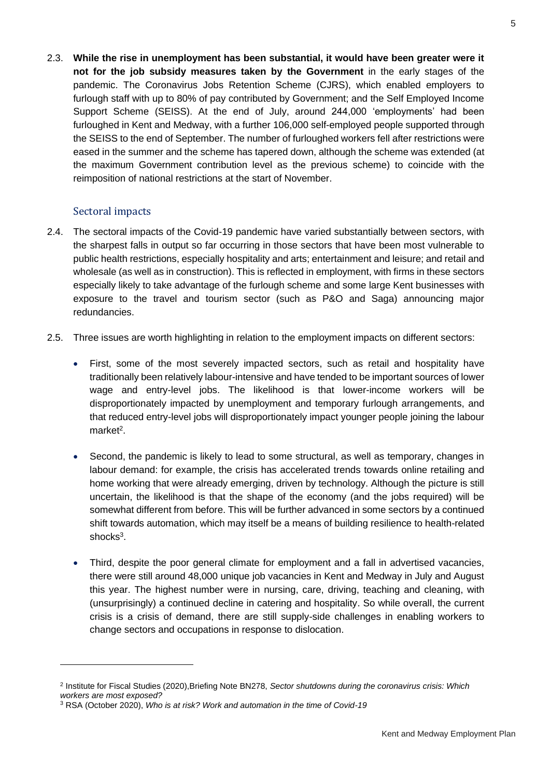2.3. **While the rise in unemployment has been substantial, it would have been greater were it not for the job subsidy measures taken by the Government** in the early stages of the pandemic. The Coronavirus Jobs Retention Scheme (CJRS), which enabled employers to furlough staff with up to 80% of pay contributed by Government; and the Self Employed Income Support Scheme (SEISS). At the end of July, around 244,000 'employments' had been furloughed in Kent and Medway, with a further 106,000 self-employed people supported through the SEISS to the end of September. The number of furloughed workers fell after restrictions were eased in the summer and the scheme has tapered down, although the scheme was extended (at the maximum Government contribution level as the previous scheme) to coincide with the reimposition of national restrictions at the start of November.

#### Sectoral impacts

- 2.4. The sectoral impacts of the Covid-19 pandemic have varied substantially between sectors, with the sharpest falls in output so far occurring in those sectors that have been most vulnerable to public health restrictions, especially hospitality and arts; entertainment and leisure; and retail and wholesale (as well as in construction). This is reflected in employment, with firms in these sectors especially likely to take advantage of the furlough scheme and some large Kent businesses with exposure to the travel and tourism sector (such as P&O and Saga) announcing major redundancies.
- 2.5. Three issues are worth highlighting in relation to the employment impacts on different sectors:
	- First, some of the most severely impacted sectors, such as retail and hospitality have traditionally been relatively labour-intensive and have tended to be important sources of lower wage and entry-level jobs. The likelihood is that lower-income workers will be disproportionately impacted by unemployment and temporary furlough arrangements, and that reduced entry-level jobs will disproportionately impact younger people joining the labour market<sup>2</sup>.
	- Second, the pandemic is likely to lead to some structural, as well as temporary, changes in labour demand: for example, the crisis has accelerated trends towards online retailing and home working that were already emerging, driven by technology. Although the picture is still uncertain, the likelihood is that the shape of the economy (and the jobs required) will be somewhat different from before. This will be further advanced in some sectors by a continued shift towards automation, which may itself be a means of building resilience to health-related shocks $^3$ .
	- Third, despite the poor general climate for employment and a fall in advertised vacancies, there were still around 48,000 unique job vacancies in Kent and Medway in July and August this year. The highest number were in nursing, care, driving, teaching and cleaning, with (unsurprisingly) a continued decline in catering and hospitality. So while overall, the current crisis is a crisis of demand, there are still supply-side challenges in enabling workers to change sectors and occupations in response to dislocation.

<sup>2</sup> Institute for Fiscal Studies (2020),Briefing Note BN278, *Sector shutdowns during the coronavirus crisis: Which workers are most exposed?*

<sup>3</sup> RSA (October 2020), *Who is at risk? Work and automation in the time of Covid-19*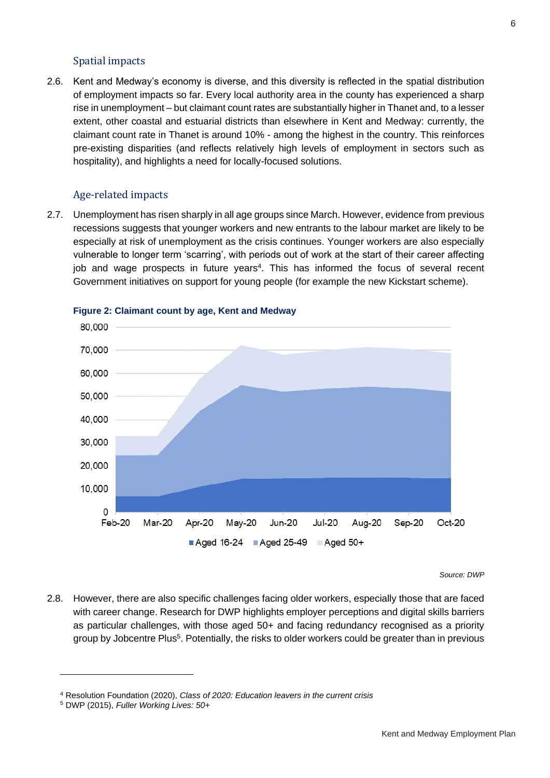#### Spatial impacts

2.6. Kent and Medway's economy is diverse, and this diversity is reflected in the spatial distribution of employment impacts so far. Every local authority area in the county has experienced a sharp rise in unemployment – but claimant count rates are substantially higher in Thanet and, to a lesser extent, other coastal and estuarial districts than elsewhere in Kent and Medway: currently, the claimant count rate in Thanet is around 10% - among the highest in the country. This reinforces pre-existing disparities (and reflects relatively high levels of employment in sectors such as hospitality), and highlights a need for locally-focused solutions.

#### Age-related impacts

2.7. Unemployment has risen sharply in all age groups since March. However, evidence from previous recessions suggests that younger workers and new entrants to the labour market are likely to be especially at risk of unemployment as the crisis continues. Younger workers are also especially vulnerable to longer term 'scarring', with periods out of work at the start of their career affecting job and wage prospects in future years<sup>4</sup>. This has informed the focus of several recent Government initiatives on support for young people (for example the new Kickstart scheme).



#### **Figure 2: Claimant count by age, Kent and Medway**

*Source: DWP*

2.8. However, there are also specific challenges facing older workers, especially those that are faced with career change. Research for DWP highlights employer perceptions and digital skills barriers as particular challenges, with those aged 50+ and facing redundancy recognised as a priority group by Jobcentre Plus<sup>5</sup>. Potentially, the risks to older workers could be greater than in previous

<sup>4</sup> Resolution Foundation (2020), *Class of 2020: Education leavers in the current crisis*

<sup>5</sup> DWP (2015), *Fuller Working Lives: 50+*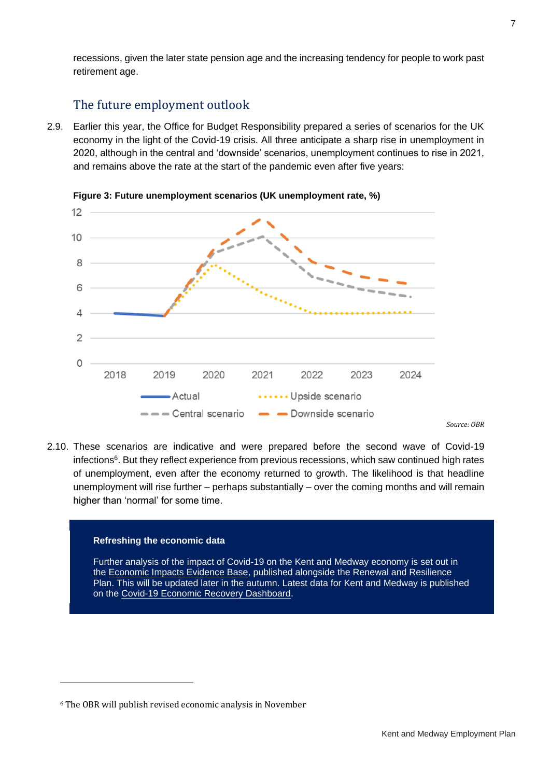recessions, given the later state pension age and the increasing tendency for people to work past retirement age.

# The future employment outlook

2.9. Earlier this year, the Office for Budget Responsibility prepared a series of scenarios for the UK economy in the light of the Covid-19 crisis. All three anticipate a sharp rise in unemployment in 2020, although in the central and 'downside' scenarios, unemployment continues to rise in 2021, and remains above the rate at the start of the pandemic even after five years:



**Figure 3: Future unemployment scenarios (UK unemployment rate, %)**

2.10. These scenarios are indicative and were prepared before the second wave of Covid-19 infections<sup>6</sup>. But they reflect experience from previous recessions, which saw continued high rates of unemployment, even after the economy returned to growth. The likelihood is that headline unemployment will rise further – perhaps substantially – over the coming months and will remain higher than 'normal' for some time.

#### **Refreshing the economic data**

Further analysis of the impact of Covid-19 on the Kent and Medway economy is set out in the [Economic Impacts Evidence Base,](https://www.kent.gov.uk/__data/assets/pdf_file/0015/112281/Economic-Renewal-and-Resilience-Plan-Economic-Impacts-Evidence-Base.pdf) published alongside the Renewal and Resilience Plan. This will be updated later in the autumn. Latest data for Kent and Medway is published on the [Covid-19 Economic Recovery Dashboard.](https://www.kent.gov.uk/about-the-council/information-and-data/facts-and-figures-about-Kent/economy-and-employment#dashboard)

*Source: OBR*

<sup>6</sup> The OBR will publish revised economic analysis in November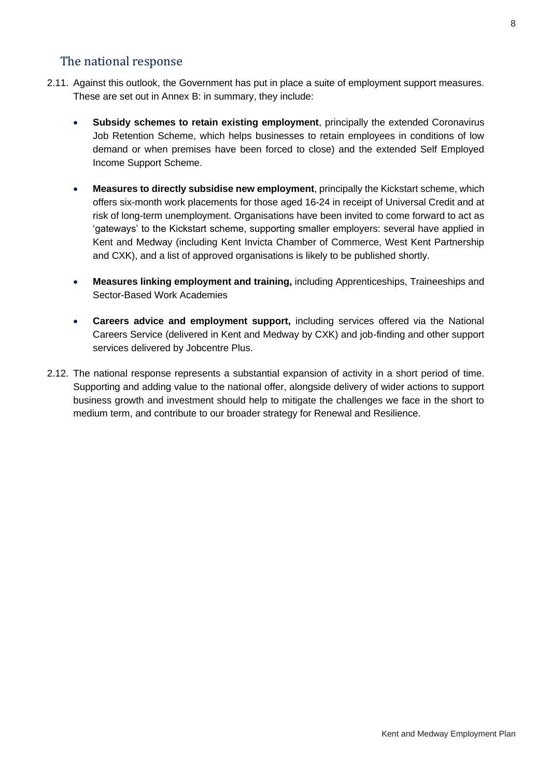# The national response

- 2.11. Against this outlook, the Government has put in place a suite of employment support measures. These are set out in Annex B: in summary, they include:
	- **Subsidy schemes to retain existing employment**, principally the extended Coronavirus Job Retention Scheme, which helps businesses to retain employees in conditions of low demand or when premises have been forced to close) and the extended Self Employed Income Support Scheme.
	- **Measures to directly subsidise new employment**, principally the Kickstart scheme, which offers six-month work placements for those aged 16-24 in receipt of Universal Credit and at risk of long-term unemployment. Organisations have been invited to come forward to act as 'gateways' to the Kickstart scheme, supporting smaller employers: several have applied in Kent and Medway (including Kent Invicta Chamber of Commerce, West Kent Partnership and CXK), and a list of approved organisations is likely to be published shortly.
	- **Measures linking employment and training,** including Apprenticeships, Traineeships and Sector-Based Work Academies
	- **Careers advice and employment support,** including services offered via the National Careers Service (delivered in Kent and Medway by CXK) and job-finding and other support services delivered by Jobcentre Plus.
- 2.12. The national response represents a substantial expansion of activity in a short period of time. Supporting and adding value to the national offer, alongside delivery of wider actions to support business growth and investment should help to mitigate the challenges we face in the short to medium term, and contribute to our broader strategy for Renewal and Resilience.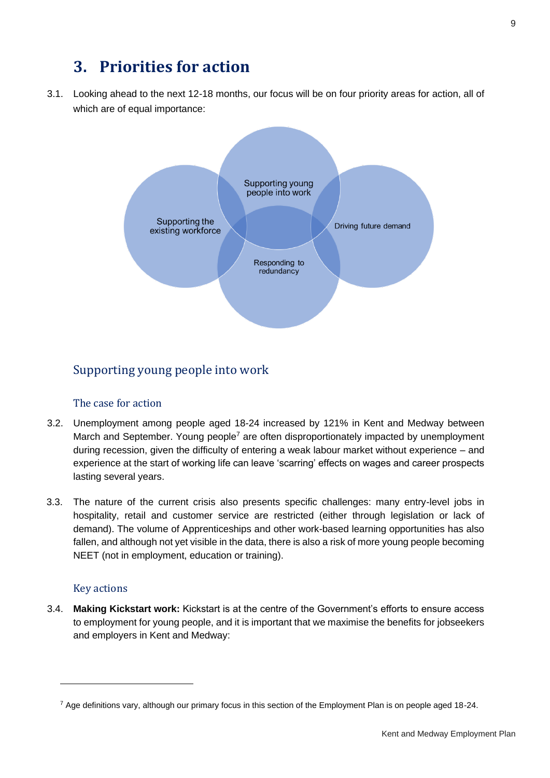# **3. Priorities for action**

3.1. Looking ahead to the next 12-18 months, our focus will be on four priority areas for action, all of which are of equal importance:



### Supporting young people into work

#### The case for action

- 3.2. Unemployment among people aged 18-24 increased by 121% in Kent and Medway between March and September. Young people<sup>7</sup> are often disproportionately impacted by unemployment during recession, given the difficulty of entering a weak labour market without experience – and experience at the start of working life can leave 'scarring' effects on wages and career prospects lasting several years.
- 3.3. The nature of the current crisis also presents specific challenges: many entry-level jobs in hospitality, retail and customer service are restricted (either through legislation or lack of demand). The volume of Apprenticeships and other work-based learning opportunities has also fallen, and although not yet visible in the data, there is also a risk of more young people becoming NEET (not in employment, education or training).

#### Key actions

3.4. **Making Kickstart work:** Kickstart is at the centre of the Government's efforts to ensure access to employment for young people, and it is important that we maximise the benefits for jobseekers and employers in Kent and Medway:

 $7$  Age definitions vary, although our primary focus in this section of the Employment Plan is on people aged 18-24.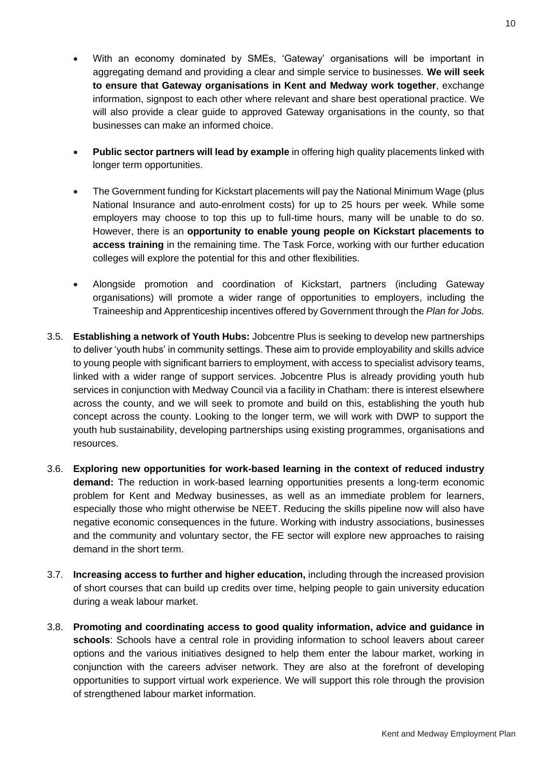- With an economy dominated by SMEs, 'Gateway' organisations will be important in aggregating demand and providing a clear and simple service to businesses. **We will seek to ensure that Gateway organisations in Kent and Medway work together**, exchange information, signpost to each other where relevant and share best operational practice. We will also provide a clear guide to approved Gateway organisations in the county, so that businesses can make an informed choice.
- **Public sector partners will lead by example** in offering high quality placements linked with longer term opportunities.
- The Government funding for Kickstart placements will pay the National Minimum Wage (plus National Insurance and auto-enrolment costs) for up to 25 hours per week. While some employers may choose to top this up to full-time hours, many will be unable to do so. However, there is an **opportunity to enable young people on Kickstart placements to access training** in the remaining time. The Task Force, working with our further education colleges will explore the potential for this and other flexibilities.
- Alongside promotion and coordination of Kickstart, partners (including Gateway organisations) will promote a wider range of opportunities to employers, including the Traineeship and Apprenticeship incentives offered by Government through the *Plan for Jobs.*
- 3.5. **Establishing a network of Youth Hubs:** Jobcentre Plus is seeking to develop new partnerships to deliver 'youth hubs' in community settings. These aim to provide employability and skills advice to young people with significant barriers to employment, with access to specialist advisory teams, linked with a wider range of support services. Jobcentre Plus is already providing youth hub services in conjunction with Medway Council via a facility in Chatham: there is interest elsewhere across the county, and we will seek to promote and build on this, establishing the youth hub concept across the county. Looking to the longer term, we will work with DWP to support the youth hub sustainability, developing partnerships using existing programmes, organisations and resources.
- 3.6. **Exploring new opportunities for work-based learning in the context of reduced industry demand:** The reduction in work-based learning opportunities presents a long-term economic problem for Kent and Medway businesses, as well as an immediate problem for learners, especially those who might otherwise be NEET. Reducing the skills pipeline now will also have negative economic consequences in the future. Working with industry associations, businesses and the community and voluntary sector, the FE sector will explore new approaches to raising demand in the short term.
- 3.7. **Increasing access to further and higher education,** including through the increased provision of short courses that can build up credits over time, helping people to gain university education during a weak labour market.
- 3.8. **Promoting and coordinating access to good quality information, advice and guidance in schools**: Schools have a central role in providing information to school leavers about career options and the various initiatives designed to help them enter the labour market, working in conjunction with the careers adviser network. They are also at the forefront of developing opportunities to support virtual work experience. We will support this role through the provision of strengthened labour market information.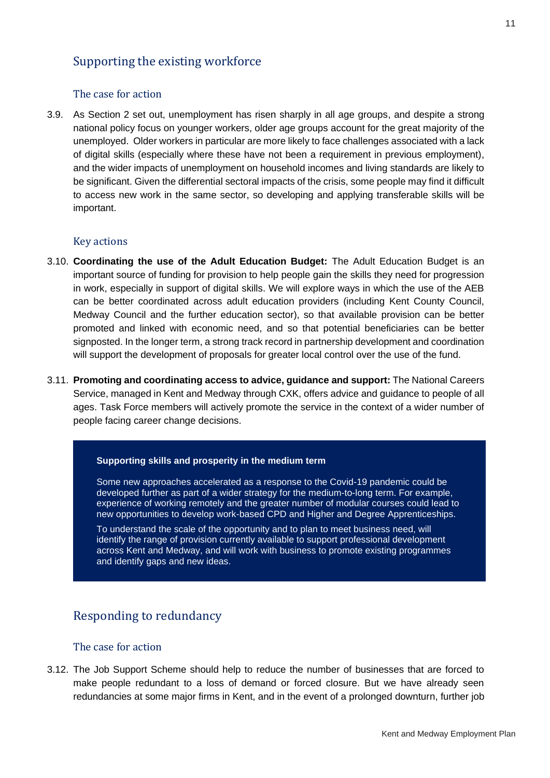# Supporting the existing workforce

#### The case for action

3.9. As Section 2 set out, unemployment has risen sharply in all age groups, and despite a strong national policy focus on younger workers, older age groups account for the great majority of the unemployed. Older workers in particular are more likely to face challenges associated with a lack of digital skills (especially where these have not been a requirement in previous employment), and the wider impacts of unemployment on household incomes and living standards are likely to be significant. Given the differential sectoral impacts of the crisis, some people may find it difficult to access new work in the same sector, so developing and applying transferable skills will be important.

#### Key actions

- 3.10. **Coordinating the use of the Adult Education Budget:** The Adult Education Budget is an important source of funding for provision to help people gain the skills they need for progression in work, especially in support of digital skills. We will explore ways in which the use of the AEB can be better coordinated across adult education providers (including Kent County Council, Medway Council and the further education sector), so that available provision can be better promoted and linked with economic need, and so that potential beneficiaries can be better signposted. In the longer term, a strong track record in partnership development and coordination will support the development of proposals for greater local control over the use of the fund.
- 3.11. **Promoting and coordinating access to advice, guidance and support:** The National Careers Service, managed in Kent and Medway through CXK, offers advice and guidance to people of all ages. Task Force members will actively promote the service in the context of a wider number of people facing career change decisions.

#### **Supporting skills and prosperity in the medium term**

Some new approaches accelerated as a response to the Covid-19 pandemic could be developed further as part of a wider strategy for the medium-to-long term. For example, experience of working remotely and the greater number of modular courses could lead to new opportunities to develop work-based CPD and Higher and Degree Apprenticeships.

To understand the scale of the opportunity and to plan to meet business need, will identify the range of provision currently available to support professional development across Kent and Medway, and will work with business to promote existing programmes and identify gaps and new ideas.

### Responding to redundancy

#### The case for action

3.12. The Job Support Scheme should help to reduce the number of businesses that are forced to make people redundant to a loss of demand or forced closure. But we have already seen redundancies at some major firms in Kent, and in the event of a prolonged downturn, further job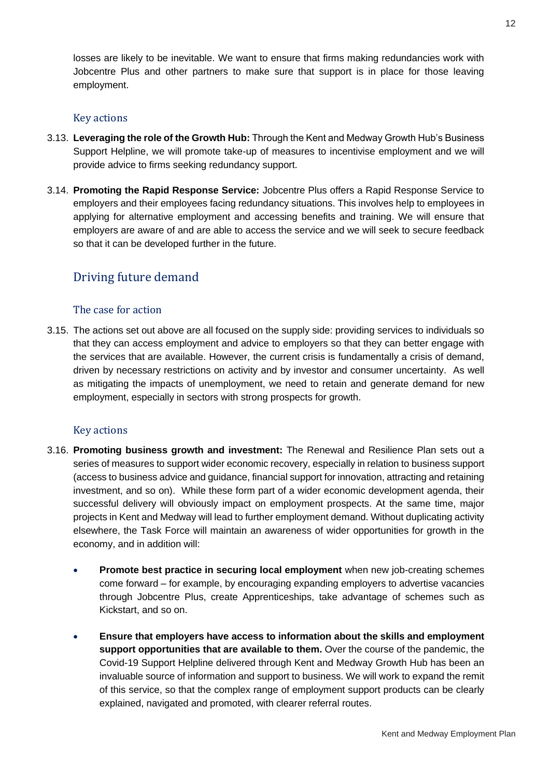losses are likely to be inevitable. We want to ensure that firms making redundancies work with Jobcentre Plus and other partners to make sure that support is in place for those leaving employment.

#### Key actions

- 3.13. **Leveraging the role of the Growth Hub:** Through the Kent and Medway Growth Hub's Business Support Helpline, we will promote take-up of measures to incentivise employment and we will provide advice to firms seeking redundancy support.
- 3.14. **Promoting the Rapid Response Service:** Jobcentre Plus offers a Rapid Response Service to employers and their employees facing redundancy situations. This involves help to employees in applying for alternative employment and accessing benefits and training. We will ensure that employers are aware of and are able to access the service and we will seek to secure feedback so that it can be developed further in the future.

# Driving future demand

#### The case for action

3.15. The actions set out above are all focused on the supply side: providing services to individuals so that they can access employment and advice to employers so that they can better engage with the services that are available. However, the current crisis is fundamentally a crisis of demand, driven by necessary restrictions on activity and by investor and consumer uncertainty. As well as mitigating the impacts of unemployment, we need to retain and generate demand for new employment, especially in sectors with strong prospects for growth.

#### Key actions

- 3.16. **Promoting business growth and investment:** The Renewal and Resilience Plan sets out a series of measures to support wider economic recovery, especially in relation to business support (access to business advice and guidance, financial support for innovation, attracting and retaining investment, and so on). While these form part of a wider economic development agenda, their successful delivery will obviously impact on employment prospects. At the same time, major projects in Kent and Medway will lead to further employment demand. Without duplicating activity elsewhere, the Task Force will maintain an awareness of wider opportunities for growth in the economy, and in addition will:
	- **Promote best practice in securing local employment** when new job-creating schemes come forward – for example, by encouraging expanding employers to advertise vacancies through Jobcentre Plus, create Apprenticeships, take advantage of schemes such as Kickstart, and so on.
	- **Ensure that employers have access to information about the skills and employment support opportunities that are available to them.** Over the course of the pandemic, the Covid-19 Support Helpline delivered through Kent and Medway Growth Hub has been an invaluable source of information and support to business. We will work to expand the remit of this service, so that the complex range of employment support products can be clearly explained, navigated and promoted, with clearer referral routes.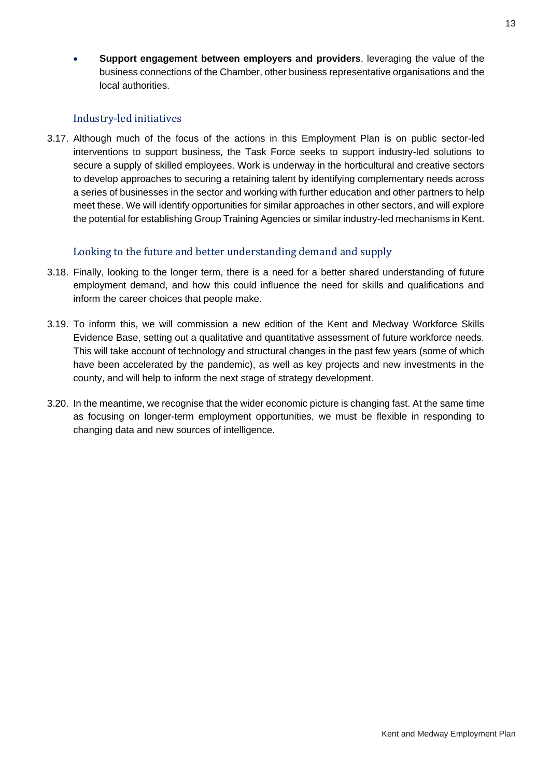• **Support engagement between employers and providers**, leveraging the value of the business connections of the Chamber, other business representative organisations and the local authorities.

#### Industry-led initiatives

3.17. Although much of the focus of the actions in this Employment Plan is on public sector-led interventions to support business, the Task Force seeks to support industry-led solutions to secure a supply of skilled employees. Work is underway in the horticultural and creative sectors to develop approaches to securing a retaining talent by identifying complementary needs across a series of businesses in the sector and working with further education and other partners to help meet these. We will identify opportunities for similar approaches in other sectors, and will explore the potential for establishing Group Training Agencies or similar industry-led mechanisms in Kent.

#### Looking to the future and better understanding demand and supply

- 3.18. Finally, looking to the longer term, there is a need for a better shared understanding of future employment demand, and how this could influence the need for skills and qualifications and inform the career choices that people make.
- 3.19. To inform this, we will commission a new edition of the Kent and Medway Workforce Skills Evidence Base, setting out a qualitative and quantitative assessment of future workforce needs. This will take account of technology and structural changes in the past few years (some of which have been accelerated by the pandemic), as well as key projects and new investments in the county, and will help to inform the next stage of strategy development.
- 3.20. In the meantime, we recognise that the wider economic picture is changing fast. At the same time as focusing on longer-term employment opportunities, we must be flexible in responding to changing data and new sources of intelligence.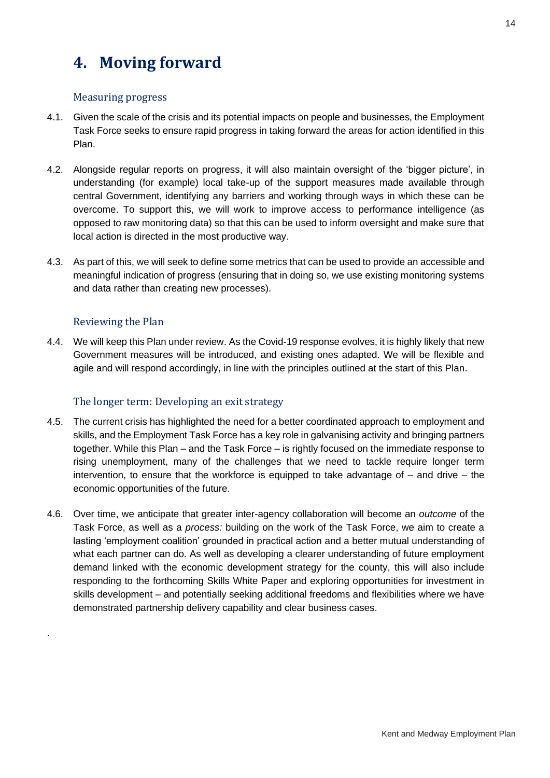# **4. Moving forward**

#### Measuring progress

- 4.1. Given the scale of the crisis and its potential impacts on people and businesses, the Employment Task Force seeks to ensure rapid progress in taking forward the areas for action identified in this Plan.
- 4.2. Alongside regular reports on progress, it will also maintain oversight of the 'bigger picture', in understanding (for example) local take-up of the support measures made available through central Government, identifying any barriers and working through ways in which these can be overcome. To support this, we will work to improve access to performance intelligence (as opposed to raw monitoring data) so that this can be used to inform oversight and make sure that local action is directed in the most productive way.
- 4.3. As part of this, we will seek to define some metrics that can be used to provide an accessible and meaningful indication of progress (ensuring that in doing so, we use existing monitoring systems and data rather than creating new processes).

#### Reviewing the Plan

.

4.4. We will keep this Plan under review. As the Covid-19 response evolves, it is highly likely that new Government measures will be introduced, and existing ones adapted. We will be flexible and agile and will respond accordingly, in line with the principles outlined at the start of this Plan.

#### The longer term: Developing an exit strategy

- 4.5. The current crisis has highlighted the need for a better coordinated approach to employment and skills, and the Employment Task Force has a key role in galvanising activity and bringing partners together. While this Plan – and the Task Force – is rightly focused on the immediate response to rising unemployment, many of the challenges that we need to tackle require longer term intervention, to ensure that the workforce is equipped to take advantage of – and drive – the economic opportunities of the future.
- 4.6. Over time, we anticipate that greater inter-agency collaboration will become an *outcome* of the Task Force, as well as a *process:* building on the work of the Task Force, we aim to create a lasting 'employment coalition' grounded in practical action and a better mutual understanding of what each partner can do. As well as developing a clearer understanding of future employment demand linked with the economic development strategy for the county, this will also include responding to the forthcoming Skills White Paper and exploring opportunities for investment in skills development – and potentially seeking additional freedoms and flexibilities where we have demonstrated partnership delivery capability and clear business cases.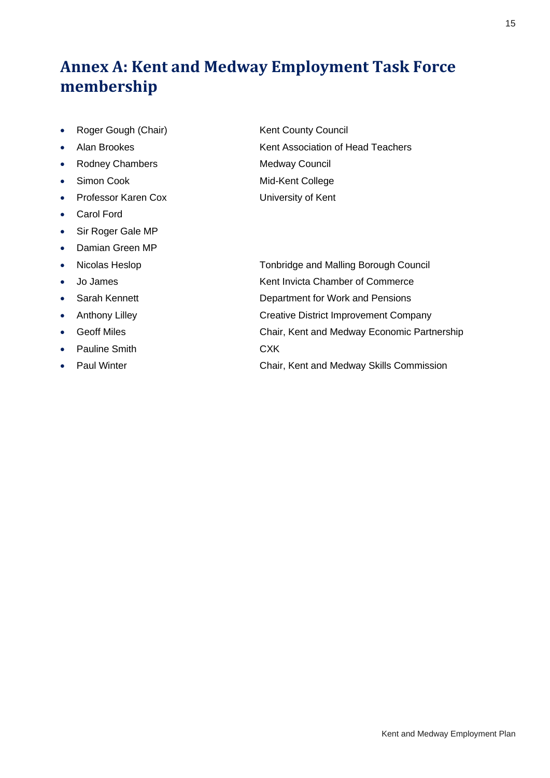# **Annex A: Kent and Medway Employment Task Force membership**

- Roger Gough (Chair) Kent County Council
- 
- Rodney Chambers Medway Council
- 
- Professor Karen Cox University of Kent
- Carol Ford
- Sir Roger Gale MP
- Damian Green MP
- 
- 
- 
- 
- 
- Pauline Smith CXK
- 

• Alan Brookes Kent Association of Head Teachers • Simon Cook Mid-Kent College

• Nicolas Heslop **Tonbridge and Malling Borough Council** • Jo James **Kent Invicta Chamber of Commerce** • Sarah Kennett **Department for Work and Pensions** 

- Anthony Lilley **Creative District Improvement Company** 
	- Geoff Miles Chair, Kent and Medway Economic Partnership
		-
- Paul Winter **Chair, Kent and Medway Skills Commission**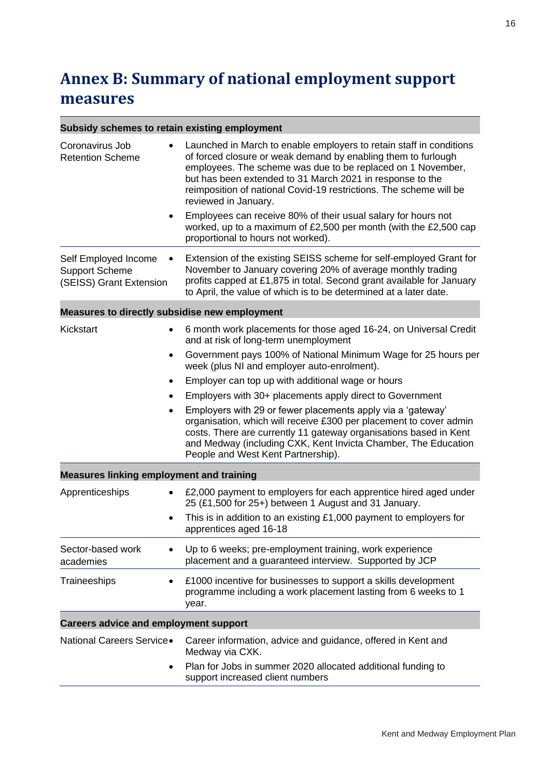# **Annex B: Summary of national employment support measures**

Ē

| Subsidy schemes to retain existing employment                            |                                                                                                                                                                                                                                                                                                                                                                                                                                                                                                                                                                                                                                                                |
|--------------------------------------------------------------------------|----------------------------------------------------------------------------------------------------------------------------------------------------------------------------------------------------------------------------------------------------------------------------------------------------------------------------------------------------------------------------------------------------------------------------------------------------------------------------------------------------------------------------------------------------------------------------------------------------------------------------------------------------------------|
| Coronavirus Job<br><b>Retention Scheme</b>                               | Launched in March to enable employers to retain staff in conditions<br>of forced closure or weak demand by enabling them to furlough<br>employees. The scheme was due to be replaced on 1 November,<br>but has been extended to 31 March 2021 in response to the<br>reimposition of national Covid-19 restrictions. The scheme will be<br>reviewed in January.<br>Employees can receive 80% of their usual salary for hours not<br>worked, up to a maximum of £2,500 per month (with the £2,500 cap<br>proportional to hours not worked).                                                                                                                      |
| Self Employed Income<br><b>Support Scheme</b><br>(SEISS) Grant Extension | Extension of the existing SEISS scheme for self-employed Grant for<br>November to January covering 20% of average monthly trading<br>profits capped at £1,875 in total. Second grant available for January<br>to April, the value of which is to be determined at a later date.                                                                                                                                                                                                                                                                                                                                                                                |
| Measures to directly subsidise new employment                            |                                                                                                                                                                                                                                                                                                                                                                                                                                                                                                                                                                                                                                                                |
| Kickstart<br>$\bullet$                                                   | 6 month work placements for those aged 16-24, on Universal Credit<br>and at risk of long-term unemployment<br>Government pays 100% of National Minimum Wage for 25 hours per<br>week (plus NI and employer auto-enrolment).<br>Employer can top up with additional wage or hours<br>Employers with 30+ placements apply direct to Government<br>Employers with 29 or fewer placements apply via a 'gateway'<br>organisation, which will receive £300 per placement to cover admin<br>costs. There are currently 11 gateway organisations based in Kent<br>and Medway (including CXK, Kent Invicta Chamber, The Education<br>People and West Kent Partnership). |
| <b>Measures linking employment and training</b>                          |                                                                                                                                                                                                                                                                                                                                                                                                                                                                                                                                                                                                                                                                |
| Apprenticeships                                                          | £2,000 payment to employers for each apprentice hired aged under<br>25 (£1,500 for 25+) between 1 August and 31 January.<br>This is in addition to an existing £1,000 payment to employers for<br>apprentices aged 16-18                                                                                                                                                                                                                                                                                                                                                                                                                                       |
| Sector-based work<br>academies                                           | Up to 6 weeks; pre-employment training, work experience<br>placement and a guaranteed interview. Supported by JCP                                                                                                                                                                                                                                                                                                                                                                                                                                                                                                                                              |
| Traineeships<br>$\bullet$                                                | £1000 incentive for businesses to support a skills development<br>programme including a work placement lasting from 6 weeks to 1<br>year.                                                                                                                                                                                                                                                                                                                                                                                                                                                                                                                      |
| <b>Careers advice and employment support</b>                             |                                                                                                                                                                                                                                                                                                                                                                                                                                                                                                                                                                                                                                                                |
| National Careers Service.<br>٠                                           | Career information, advice and guidance, offered in Kent and<br>Medway via CXK.<br>Plan for Jobs in summer 2020 allocated additional funding to<br>support increased client numbers                                                                                                                                                                                                                                                                                                                                                                                                                                                                            |